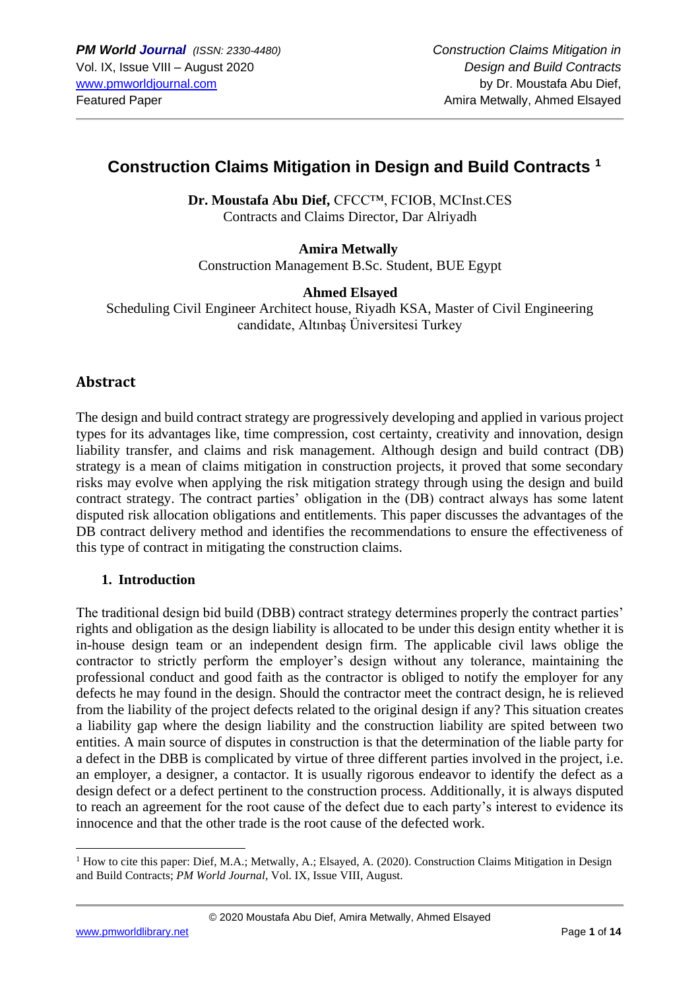# **Construction Claims Mitigation in Design and Build Contracts <sup>1</sup>**

Dr. Moustafa Abu Dief, CFCC™, FCIOB, MCInst.CES Contracts and Claims Director, Dar Alriyadh

### **Amira Metwally**

Construction Management B.Sc. Student, BUE Egypt

### **Ahmed Elsayed**

Scheduling Civil Engineer Architect house, Riyadh KSA, Master of Civil Engineering candidate, Altınbaş Üniversitesi Turkey

# **Abstract**

The design and build contract strategy are progressively developing and applied in various project types for its advantages like, time compression, cost certainty, creativity and innovation, design liability transfer, and claims and risk management. Although design and build contract (DB) strategy is a mean of claims mitigation in construction projects, it proved that some secondary risks may evolve when applying the risk mitigation strategy through using the design and build contract strategy. The contract parties' obligation in the (DB) contract always has some latent disputed risk allocation obligations and entitlements. This paper discusses the advantages of the DB contract delivery method and identifies the recommendations to ensure the effectiveness of this type of contract in mitigating the construction claims.

### **1. Introduction**

The traditional design bid build (DBB) contract strategy determines properly the contract parties' rights and obligation as the design liability is allocated to be under this design entity whether it is in-house design team or an independent design firm. The applicable civil laws oblige the contractor to strictly perform the employer's design without any tolerance, maintaining the professional conduct and good faith as the contractor is obliged to notify the employer for any defects he may found in the design. Should the contractor meet the contract design, he is relieved from the liability of the project defects related to the original design if any? This situation creates a liability gap where the design liability and the construction liability are spited between two entities. A main source of disputes in construction is that the determination of the liable party for a defect in the DBB is complicated by virtue of three different parties involved in the project, i.e. an employer, a designer, a contactor. It is usually rigorous endeavor to identify the defect as a design defect or a defect pertinent to the construction process. Additionally, it is always disputed to reach an agreement for the root cause of the defect due to each party's interest to evidence its innocence and that the other trade is the root cause of the defected work.

 $1$  How to cite this paper: Dief, M.A.; Metwally, A.; Elsayed, A. (2020). Construction Claims Mitigation in Design and Build Contracts; *PM World Journal*, Vol. IX, Issue VIII, August.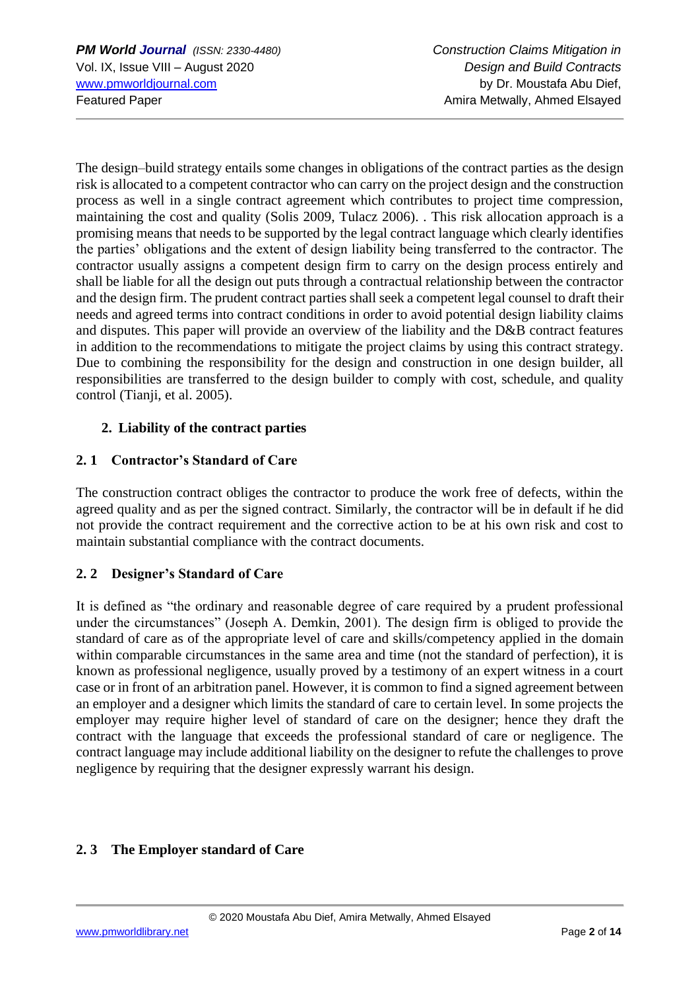The design–build strategy entails some changes in obligations of the contract parties as the design risk is allocated to a competent contractor who can carry on the project design and the construction process as well in a single contract agreement which contributes to project time compression, maintaining the cost and quality (Solis 2009, Tulacz 2006). . This risk allocation approach is a promising means that needs to be supported by the legal contract language which clearly identifies the parties' obligations and the extent of design liability being transferred to the contractor. The contractor usually assigns a competent design firm to carry on the design process entirely and shall be liable for all the design out puts through a contractual relationship between the contractor and the design firm. The prudent contract parties shall seek a competent legal counsel to draft their needs and agreed terms into contract conditions in order to avoid potential design liability claims and disputes. This paper will provide an overview of the liability and the D&B contract features in addition to the recommendations to mitigate the project claims by using this contract strategy. Due to combining the responsibility for the design and construction in one design builder, all responsibilities are transferred to the design builder to comply with cost, schedule, and quality control (Tianji, et al. 2005).

# **2. Liability of the contract parties**

## **2. 1 Contractor's Standard of Care**

The construction contract obliges the contractor to produce the work free of defects, within the agreed quality and as per the signed contract. Similarly, the contractor will be in default if he did not provide the contract requirement and the corrective action to be at his own risk and cost to maintain substantial compliance with the contract documents.

# **2. 2 Designer's Standard of Care**

It is defined as "the ordinary and reasonable degree of care required by a prudent professional under the circumstances" (Joseph A. Demkin, 2001). The design firm is obliged to provide the standard of care as of the appropriate level of care and skills/competency applied in the domain within comparable circumstances in the same area and time (not the standard of perfection), it is known as professional negligence, usually proved by a testimony of an expert witness in a court case or in front of an arbitration panel. However, it is common to find a signed agreement between an employer and a designer which limits the standard of care to certain level. In some projects the employer may require higher level of standard of care on the designer; hence they draft the contract with the language that exceeds the professional standard of care or negligence. The contract language may include additional liability on the designer to refute the challenges to prove negligence by requiring that the designer expressly warrant his design.

# **2. 3 The Employer standard of Care**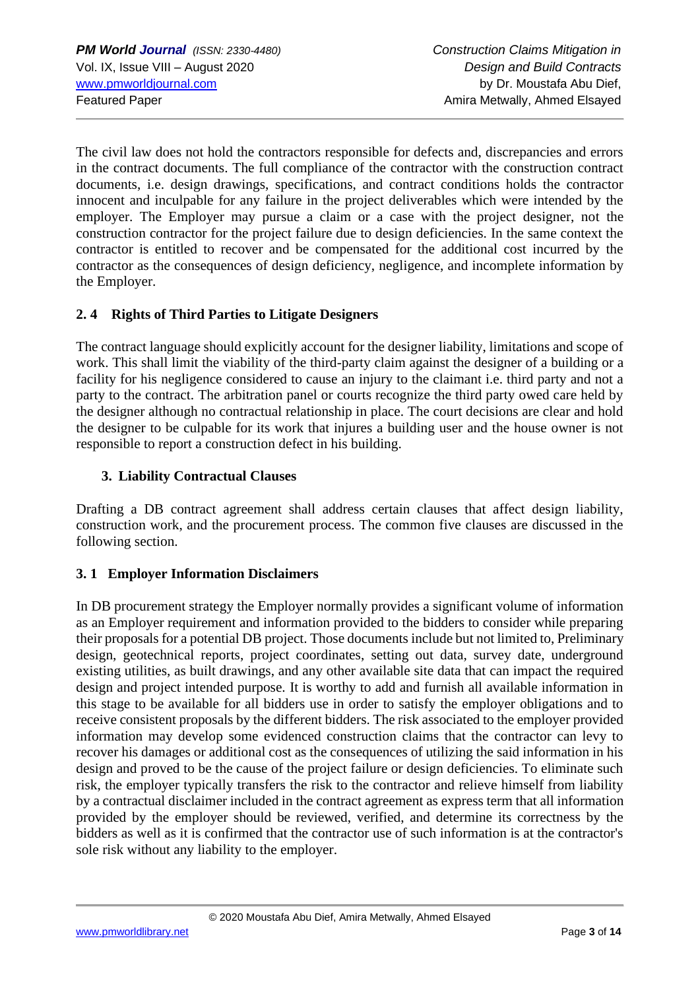The civil law does not hold the contractors responsible for defects and, discrepancies and errors in the contract documents. The full compliance of the contractor with the construction contract documents, i.e. design drawings, specifications, and contract conditions holds the contractor innocent and inculpable for any failure in the project deliverables which were intended by the employer. The Employer may pursue a claim or a case with the project designer, not the construction contractor for the project failure due to design deficiencies. In the same context the contractor is entitled to recover and be compensated for the additional cost incurred by the contractor as the consequences of design deficiency, negligence, and incomplete information by the Employer.

# **2. 4 Rights of Third Parties to Litigate Designers**

The contract language should explicitly account for the designer liability, limitations and scope of work. This shall limit the viability of the third-party claim against the designer of a building or a facility for his negligence considered to cause an injury to the claimant i.e. third party and not a party to the contract. The arbitration panel or courts recognize the third party owed care held by the designer although no contractual relationship in place. The court decisions are clear and hold the designer to be culpable for its work that injures a building user and the house owner is not responsible to report a construction defect in his building.

### **3. Liability Contractual Clauses**

Drafting a DB contract agreement shall address certain clauses that affect design liability, construction work, and the procurement process. The common five clauses are discussed in the following section.

# **3. 1 Employer Information Disclaimers**

In DB procurement strategy the Employer normally provides a significant volume of information as an Employer requirement and information provided to the bidders to consider while preparing their proposals for a potential DB project. Those documents include but not limited to, Preliminary design, geotechnical reports, project coordinates, setting out data, survey date, underground existing utilities, as built drawings, and any other available site data that can impact the required design and project intended purpose. It is worthy to add and furnish all available information in this stage to be available for all bidders use in order to satisfy the employer obligations and to receive consistent proposals by the different bidders. The risk associated to the employer provided information may develop some evidenced construction claims that the contractor can levy to recover his damages or additional cost as the consequences of utilizing the said information in his design and proved to be the cause of the project failure or design deficiencies. To eliminate such risk, the employer typically transfers the risk to the contractor and relieve himself from liability by a contractual disclaimer included in the contract agreement as express term that all information provided by the employer should be reviewed, verified, and determine its correctness by the bidders as well as it is confirmed that the contractor use of such information is at the contractor's sole risk without any liability to the employer.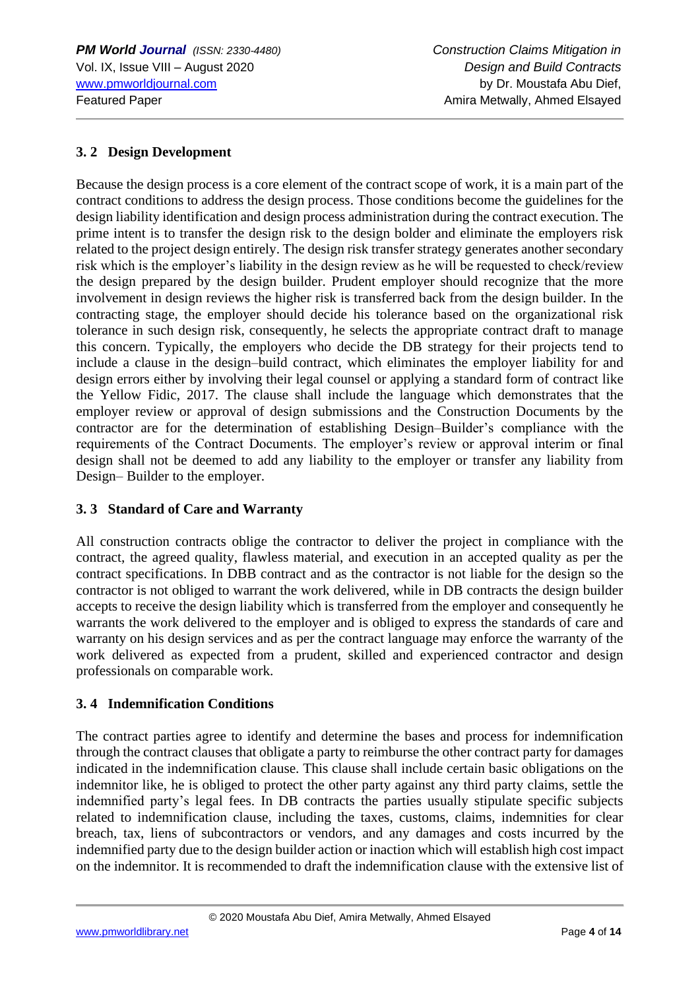# **3. 2 Design Development**

Because the design process is a core element of the contract scope of work, it is a main part of the contract conditions to address the design process. Those conditions become the guidelines for the design liability identification and design process administration during the contract execution. The prime intent is to transfer the design risk to the design bolder and eliminate the employers risk related to the project design entirely. The design risk transfer strategy generates another secondary risk which is the employer's liability in the design review as he will be requested to check/review the design prepared by the design builder. Prudent employer should recognize that the more involvement in design reviews the higher risk is transferred back from the design builder. In the contracting stage, the employer should decide his tolerance based on the organizational risk tolerance in such design risk, consequently, he selects the appropriate contract draft to manage this concern. Typically, the employers who decide the DB strategy for their projects tend to include a clause in the design–build contract, which eliminates the employer liability for and design errors either by involving their legal counsel or applying a standard form of contract like the Yellow Fidic, 2017. The clause shall include the language which demonstrates that the employer review or approval of design submissions and the Construction Documents by the contractor are for the determination of establishing Design–Builder's compliance with the requirements of the Contract Documents. The employer's review or approval interim or final design shall not be deemed to add any liability to the employer or transfer any liability from Design– Builder to the employer.

# **3. 3 Standard of Care and Warranty**

All construction contracts oblige the contractor to deliver the project in compliance with the contract, the agreed quality, flawless material, and execution in an accepted quality as per the contract specifications. In DBB contract and as the contractor is not liable for the design so the contractor is not obliged to warrant the work delivered, while in DB contracts the design builder accepts to receive the design liability which is transferred from the employer and consequently he warrants the work delivered to the employer and is obliged to express the standards of care and warranty on his design services and as per the contract language may enforce the warranty of the work delivered as expected from a prudent, skilled and experienced contractor and design professionals on comparable work.

# **3. 4 Indemnification Conditions**

The contract parties agree to identify and determine the bases and process for indemnification through the contract clauses that obligate a party to reimburse the other contract party for damages indicated in the indemnification clause. This clause shall include certain basic obligations on the indemnitor like, he is obliged to protect the other party against any third party claims, settle the indemnified party's legal fees. In DB contracts the parties usually stipulate specific subjects related to indemnification clause, including the taxes, customs, claims, indemnities for clear breach, tax, liens of subcontractors or vendors, and any damages and costs incurred by the indemnified party due to the design builder action or inaction which will establish high cost impact on the indemnitor. It is recommended to draft the indemnification clause with the extensive list of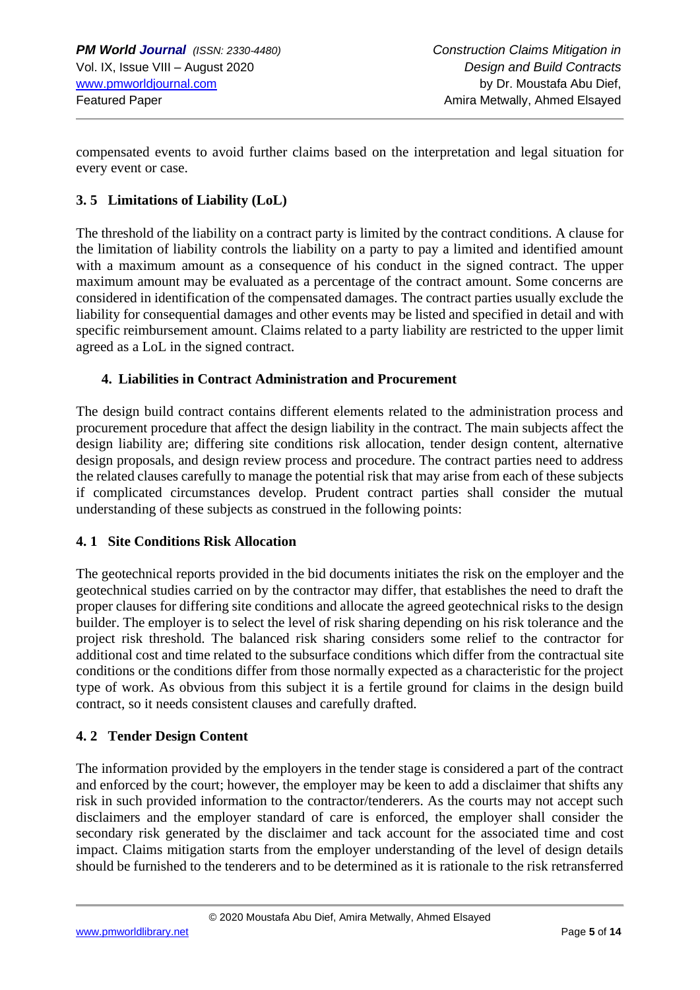compensated events to avoid further claims based on the interpretation and legal situation for every event or case.

### **3. 5 Limitations of Liability (LoL)**

The threshold of the liability on a contract party is limited by the contract conditions. A clause for the limitation of liability controls the liability on a party to pay a limited and identified amount with a maximum amount as a consequence of his conduct in the signed contract. The upper maximum amount may be evaluated as a percentage of the contract amount. Some concerns are considered in identification of the compensated damages. The contract parties usually exclude the liability for consequential damages and other events may be listed and specified in detail and with specific reimbursement amount. Claims related to a party liability are restricted to the upper limit agreed as a LoL in the signed contract.

### **4. Liabilities in Contract Administration and Procurement**

The design build contract contains different elements related to the administration process and procurement procedure that affect the design liability in the contract. The main subjects affect the design liability are; differing site conditions risk allocation, tender design content, alternative design proposals, and design review process and procedure. The contract parties need to address the related clauses carefully to manage the potential risk that may arise from each of these subjects if complicated circumstances develop. Prudent contract parties shall consider the mutual understanding of these subjects as construed in the following points:

### **4. 1 Site Conditions Risk Allocation**

The geotechnical reports provided in the bid documents initiates the risk on the employer and the geotechnical studies carried on by the contractor may differ, that establishes the need to draft the proper clauses for differing site conditions and allocate the agreed geotechnical risks to the design builder. The employer is to select the level of risk sharing depending on his risk tolerance and the project risk threshold. The balanced risk sharing considers some relief to the contractor for additional cost and time related to the subsurface conditions which differ from the contractual site conditions or the conditions differ from those normally expected as a characteristic for the project type of work. As obvious from this subject it is a fertile ground for claims in the design build contract, so it needs consistent clauses and carefully drafted.

### **4. 2 Tender Design Content**

The information provided by the employers in the tender stage is considered a part of the contract and enforced by the court; however, the employer may be keen to add a disclaimer that shifts any risk in such provided information to the contractor/tenderers. As the courts may not accept such disclaimers and the employer standard of care is enforced, the employer shall consider the secondary risk generated by the disclaimer and tack account for the associated time and cost impact. Claims mitigation starts from the employer understanding of the level of design details should be furnished to the tenderers and to be determined as it is rationale to the risk retransferred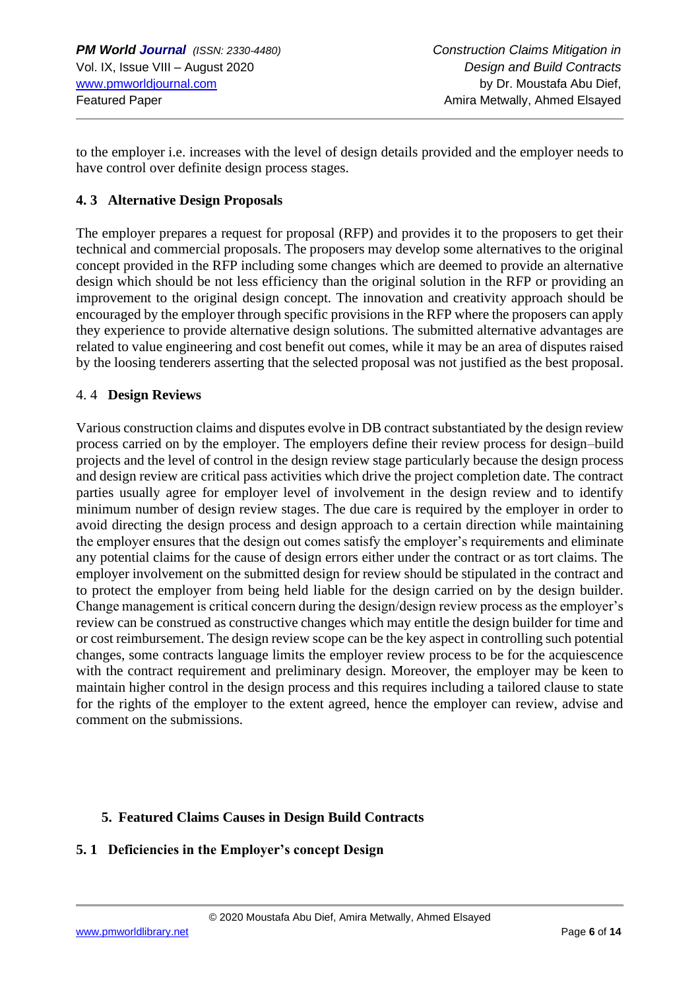to the employer i.e. increases with the level of design details provided and the employer needs to have control over definite design process stages.

### **4. 3 Alternative Design Proposals**

The employer prepares a request for proposal (RFP) and provides it to the proposers to get their technical and commercial proposals. The proposers may develop some alternatives to the original concept provided in the RFP including some changes which are deemed to provide an alternative design which should be not less efficiency than the original solution in the RFP or providing an improvement to the original design concept. The innovation and creativity approach should be encouraged by the employer through specific provisions in the RFP where the proposers can apply they experience to provide alternative design solutions. The submitted alternative advantages are related to value engineering and cost benefit out comes, while it may be an area of disputes raised by the loosing tenderers asserting that the selected proposal was not justified as the best proposal.

#### 4. 4 **Design Reviews**

Various construction claims and disputes evolve in DB contract substantiated by the design review process carried on by the employer. The employers define their review process for design–build projects and the level of control in the design review stage particularly because the design process and design review are critical pass activities which drive the project completion date. The contract parties usually agree for employer level of involvement in the design review and to identify minimum number of design review stages. The due care is required by the employer in order to avoid directing the design process and design approach to a certain direction while maintaining the employer ensures that the design out comes satisfy the employer's requirements and eliminate any potential claims for the cause of design errors either under the contract or as tort claims. The employer involvement on the submitted design for review should be stipulated in the contract and to protect the employer from being held liable for the design carried on by the design builder. Change management is critical concern during the design/design review process as the employer's review can be construed as constructive changes which may entitle the design builder for time and or cost reimbursement. The design review scope can be the key aspect in controlling such potential changes, some contracts language limits the employer review process to be for the acquiescence with the contract requirement and preliminary design. Moreover, the employer may be keen to maintain higher control in the design process and this requires including a tailored clause to state for the rights of the employer to the extent agreed, hence the employer can review, advise and comment on the submissions.

### **5. Featured Claims Causes in Design Build Contracts**

# **5. 1 Deficiencies in the Employer's concept Design**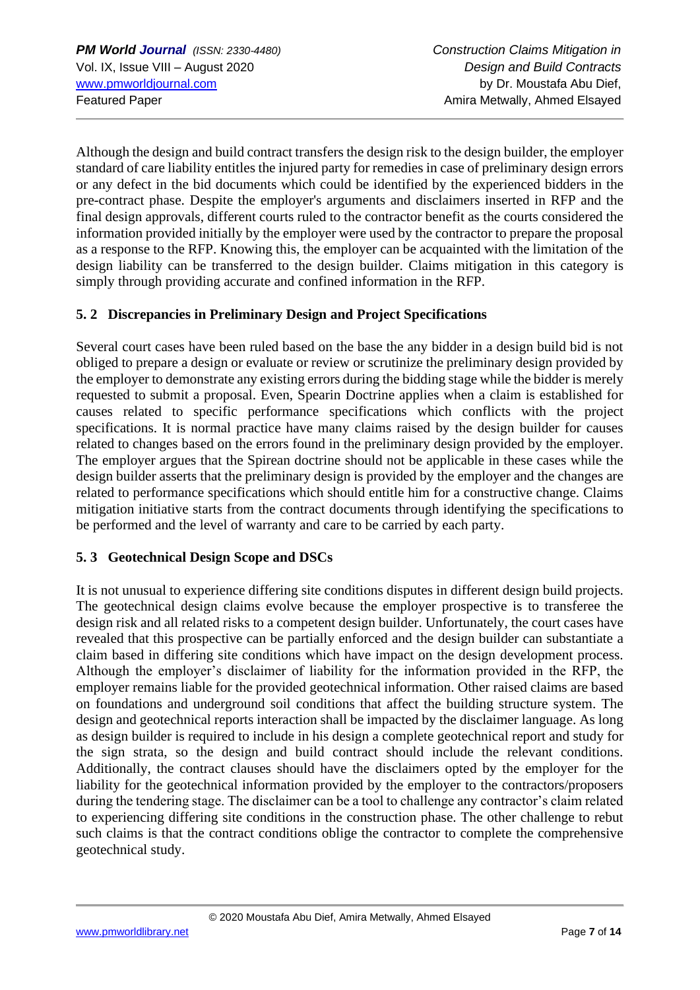Although the design and build contract transfers the design risk to the design builder, the employer standard of care liability entitles the injured party for remedies in case of preliminary design errors or any defect in the bid documents which could be identified by the experienced bidders in the pre-contract phase. Despite the employer's arguments and disclaimers inserted in RFP and the final design approvals, different courts ruled to the contractor benefit as the courts considered the information provided initially by the employer were used by the contractor to prepare the proposal as a response to the RFP. Knowing this, the employer can be acquainted with the limitation of the design liability can be transferred to the design builder. Claims mitigation in this category is simply through providing accurate and confined information in the RFP.

# **5. 2 Discrepancies in Preliminary Design and Project Specifications**

Several court cases have been ruled based on the base the any bidder in a design build bid is not obliged to prepare a design or evaluate or review or scrutinize the preliminary design provided by the employer to demonstrate any existing errors during the bidding stage while the bidder is merely requested to submit a proposal. Even, Spearin Doctrine applies when a claim is established for causes related to specific performance specifications which conflicts with the project specifications. It is normal practice have many claims raised by the design builder for causes related to changes based on the errors found in the preliminary design provided by the employer. The employer argues that the Spirean doctrine should not be applicable in these cases while the design builder asserts that the preliminary design is provided by the employer and the changes are related to performance specifications which should entitle him for a constructive change. Claims mitigation initiative starts from the contract documents through identifying the specifications to be performed and the level of warranty and care to be carried by each party.

### **5. 3 Geotechnical Design Scope and DSCs**

It is not unusual to experience differing site conditions disputes in different design build projects. The geotechnical design claims evolve because the employer prospective is to transferee the design risk and all related risks to a competent design builder. Unfortunately, the court cases have revealed that this prospective can be partially enforced and the design builder can substantiate a claim based in differing site conditions which have impact on the design development process. Although the employer's disclaimer of liability for the information provided in the RFP, the employer remains liable for the provided geotechnical information. Other raised claims are based on foundations and underground soil conditions that affect the building structure system. The design and geotechnical reports interaction shall be impacted by the disclaimer language. As long as design builder is required to include in his design a complete geotechnical report and study for the sign strata, so the design and build contract should include the relevant conditions. Additionally, the contract clauses should have the disclaimers opted by the employer for the liability for the geotechnical information provided by the employer to the contractors/proposers during the tendering stage. The disclaimer can be a tool to challenge any contractor's claim related to experiencing differing site conditions in the construction phase. The other challenge to rebut such claims is that the contract conditions oblige the contractor to complete the comprehensive geotechnical study.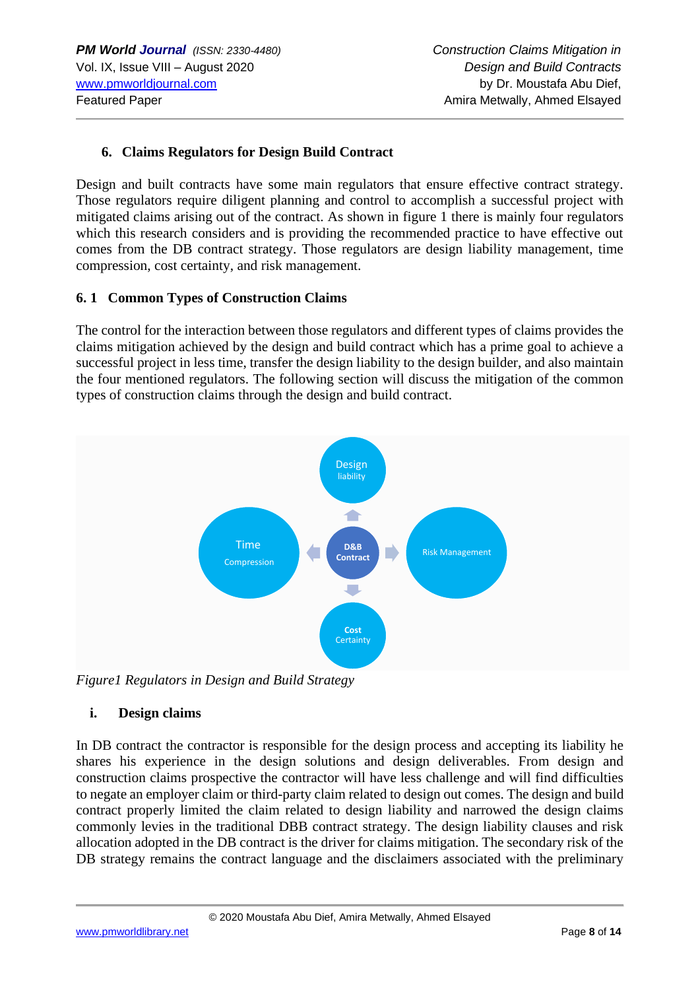## **6. Claims Regulators for Design Build Contract**

Design and built contracts have some main regulators that ensure effective contract strategy. Those regulators require diligent planning and control to accomplish a successful project with mitigated claims arising out of the contract. As shown in figure 1 there is mainly four regulators which this research considers and is providing the recommended practice to have effective out comes from the DB contract strategy. Those regulators are design liability management, time compression, cost certainty, and risk management.

#### **6. 1 Common Types of Construction Claims**

The control for the interaction between those regulators and different types of claims provides the claims mitigation achieved by the design and build contract which has a prime goal to achieve a successful project in less time, transfer the design liability to the design builder, and also maintain the four mentioned regulators. The following section will discuss the mitigation of the common types of construction claims through the design and build contract.



*Figure1 Regulators in Design and Build Strategy*

#### **i. Design claims**

In DB contract the contractor is responsible for the design process and accepting its liability he shares his experience in the design solutions and design deliverables. From design and construction claims prospective the contractor will have less challenge and will find difficulties to negate an employer claim or third-party claim related to design out comes. The design and build contract properly limited the claim related to design liability and narrowed the design claims commonly levies in the traditional DBB contract strategy. The design liability clauses and risk allocation adopted in the DB contract is the driver for claims mitigation. The secondary risk of the DB strategy remains the contract language and the disclaimers associated with the preliminary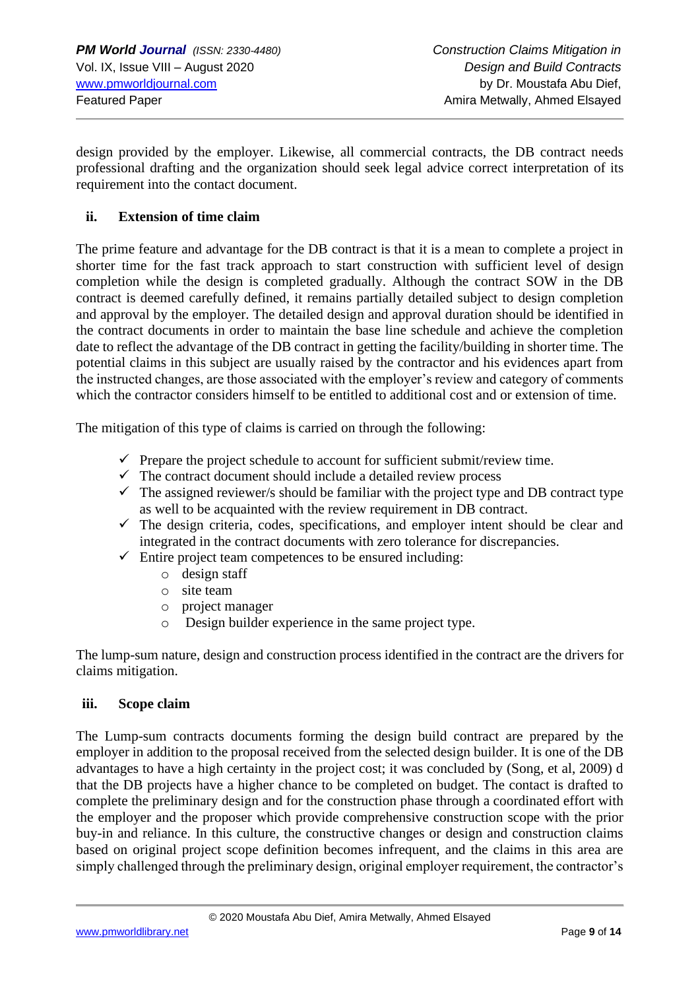design provided by the employer. Likewise, all commercial contracts, the DB contract needs professional drafting and the organization should seek legal advice correct interpretation of its requirement into the contact document.

### **ii. Extension of time claim**

The prime feature and advantage for the DB contract is that it is a mean to complete a project in shorter time for the fast track approach to start construction with sufficient level of design completion while the design is completed gradually. Although the contract SOW in the DB contract is deemed carefully defined, it remains partially detailed subject to design completion and approval by the employer. The detailed design and approval duration should be identified in the contract documents in order to maintain the base line schedule and achieve the completion date to reflect the advantage of the DB contract in getting the facility/building in shorter time. The potential claims in this subject are usually raised by the contractor and his evidences apart from the instructed changes, are those associated with the employer's review and category of comments which the contractor considers himself to be entitled to additional cost and or extension of time.

The mitigation of this type of claims is carried on through the following:

- $\checkmark$  Prepare the project schedule to account for sufficient submit/review time.
- $\checkmark$  The contract document should include a detailed review process
- $\checkmark$  The assigned reviewer/s should be familiar with the project type and DB contract type as well to be acquainted with the review requirement in DB contract.
- $\checkmark$  The design criteria, codes, specifications, and employer intent should be clear and integrated in the contract documents with zero tolerance for discrepancies.
- $\checkmark$  Entire project team competences to be ensured including:
	- o design staff
	- o site team
	- o project manager
	- o Design builder experience in the same project type.

The lump-sum nature, design and construction process identified in the contract are the drivers for claims mitigation.

#### **iii. Scope claim**

The Lump-sum contracts documents forming the design build contract are prepared by the employer in addition to the proposal received from the selected design builder. It is one of the DB advantages to have a high certainty in the project cost; it was concluded by (Song, et al, 2009) d that the DB projects have a higher chance to be completed on budget. The contact is drafted to complete the preliminary design and for the construction phase through a coordinated effort with the employer and the proposer which provide comprehensive construction scope with the prior buy-in and reliance. In this culture, the constructive changes or design and construction claims based on original project scope definition becomes infrequent, and the claims in this area are simply challenged through the preliminary design, original employer requirement, the contractor's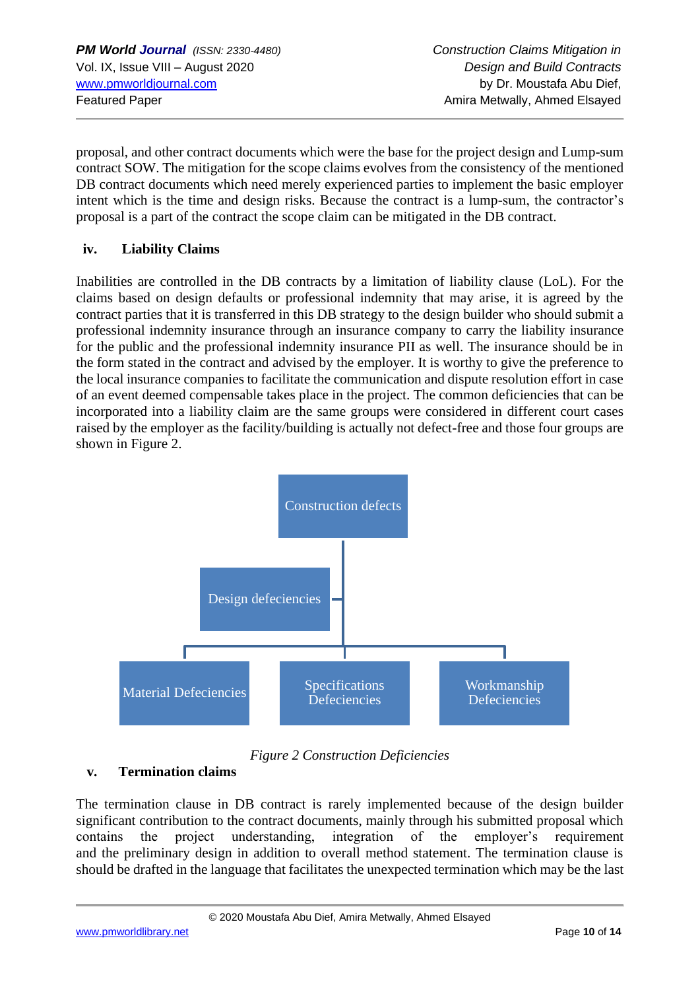proposal, and other contract documents which were the base for the project design and Lump-sum contract SOW. The mitigation for the scope claims evolves from the consistency of the mentioned DB contract documents which need merely experienced parties to implement the basic employer intent which is the time and design risks. Because the contract is a lump-sum, the contractor's proposal is a part of the contract the scope claim can be mitigated in the DB contract.

### **iv. Liability Claims**

Inabilities are controlled in the DB contracts by a limitation of liability clause (LoL). For the claims based on design defaults or professional indemnity that may arise, it is agreed by the contract parties that it is transferred in this DB strategy to the design builder who should submit a professional indemnity insurance through an insurance company to carry the liability insurance for the public and the professional indemnity insurance PII as well. The insurance should be in the form stated in the contract and advised by the employer. It is worthy to give the preference to the local insurance companies to facilitate the communication and dispute resolution effort in case of an event deemed compensable takes place in the project. The common deficiencies that can be incorporated into a liability claim are the same groups were considered in different court cases raised by the employer as the facility/building is actually not defect-free and those four groups are shown in Figure 2.



*Figure 2 Construction Deficiencies*

# **v. Termination claims**

The termination clause in DB contract is rarely implemented because of the design builder significant contribution to the contract documents, mainly through his submitted proposal which contains the project understanding, integration of the employer's requirement and the preliminary design in addition to overall method statement. The termination clause is should be drafted in the language that facilitates the unexpected termination which may be the last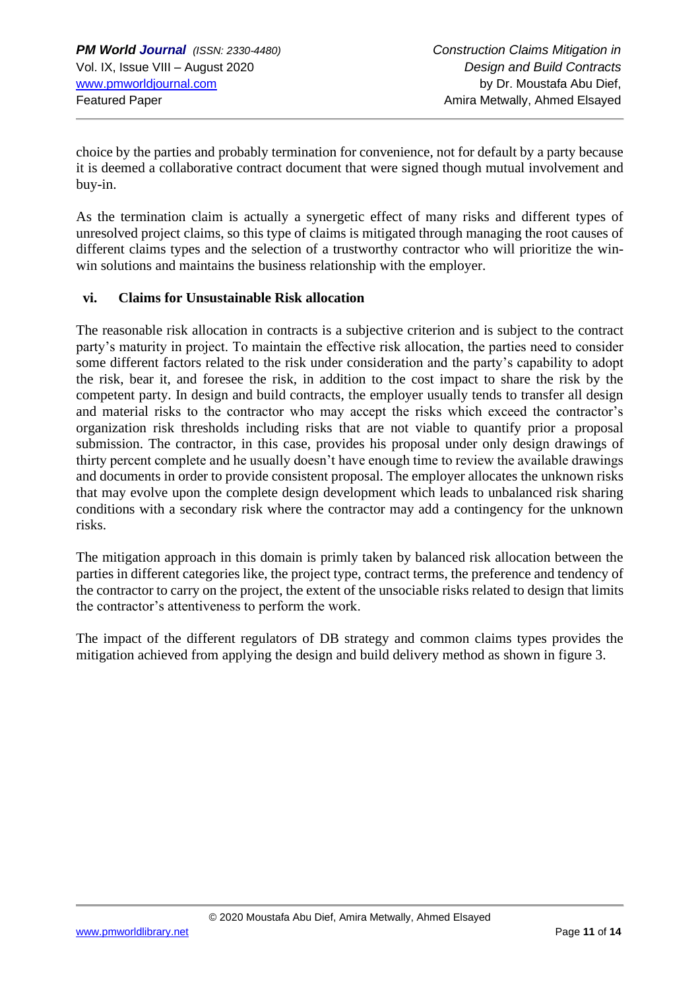choice by the parties and probably termination for convenience, not for default by a party because it is deemed a collaborative contract document that were signed though mutual involvement and buy-in.

As the termination claim is actually a synergetic effect of many risks and different types of unresolved project claims, so this type of claims is mitigated through managing the root causes of different claims types and the selection of a trustworthy contractor who will prioritize the winwin solutions and maintains the business relationship with the employer.

#### **vi. Claims for Unsustainable Risk allocation**

The reasonable risk allocation in contracts is a subjective criterion and is subject to the contract party's maturity in project. To maintain the effective risk allocation, the parties need to consider some different factors related to the risk under consideration and the party's capability to adopt the risk, bear it, and foresee the risk, in addition to the cost impact to share the risk by the competent party. In design and build contracts, the employer usually tends to transfer all design and material risks to the contractor who may accept the risks which exceed the contractor's organization risk thresholds including risks that are not viable to quantify prior a proposal submission. The contractor, in this case, provides his proposal under only design drawings of thirty percent complete and he usually doesn't have enough time to review the available drawings and documents in order to provide consistent proposal. The employer allocates the unknown risks that may evolve upon the complete design development which leads to unbalanced risk sharing conditions with a secondary risk where the contractor may add a contingency for the unknown risks.

The mitigation approach in this domain is primly taken by balanced risk allocation between the parties in different categories like, the project type, contract terms, the preference and tendency of the contractor to carry on the project, the extent of the unsociable risks related to design that limits the contractor's attentiveness to perform the work.

The impact of the different regulators of DB strategy and common claims types provides the mitigation achieved from applying the design and build delivery method as shown in figure 3.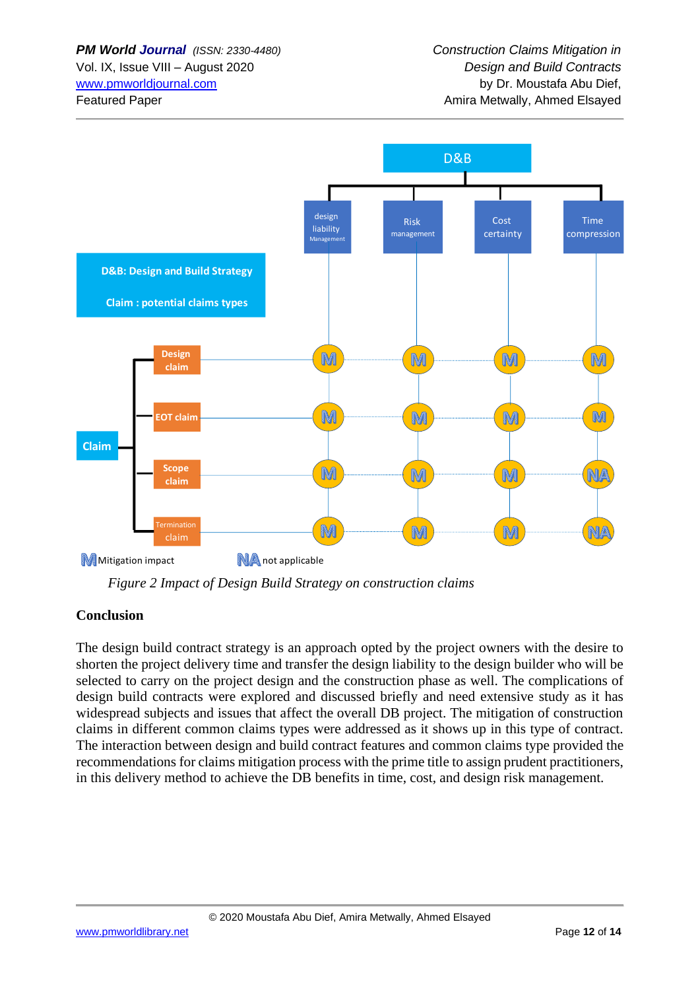

 *Figure 2 Impact of Design Build Strategy on construction claims*

### **Conclusion**

The design build contract strategy is an approach opted by the project owners with the desire to shorten the project delivery time and transfer the design liability to the design builder who will be selected to carry on the project design and the construction phase as well. The complications of design build contracts were explored and discussed briefly and need extensive study as it has widespread subjects and issues that affect the overall DB project. The mitigation of construction claims in different common claims types were addressed as it shows up in this type of contract. The interaction between design and build contract features and common claims type provided the recommendations for claims mitigation process with the prime title to assign prudent practitioners, in this delivery method to achieve the DB benefits in time, cost, and design risk management.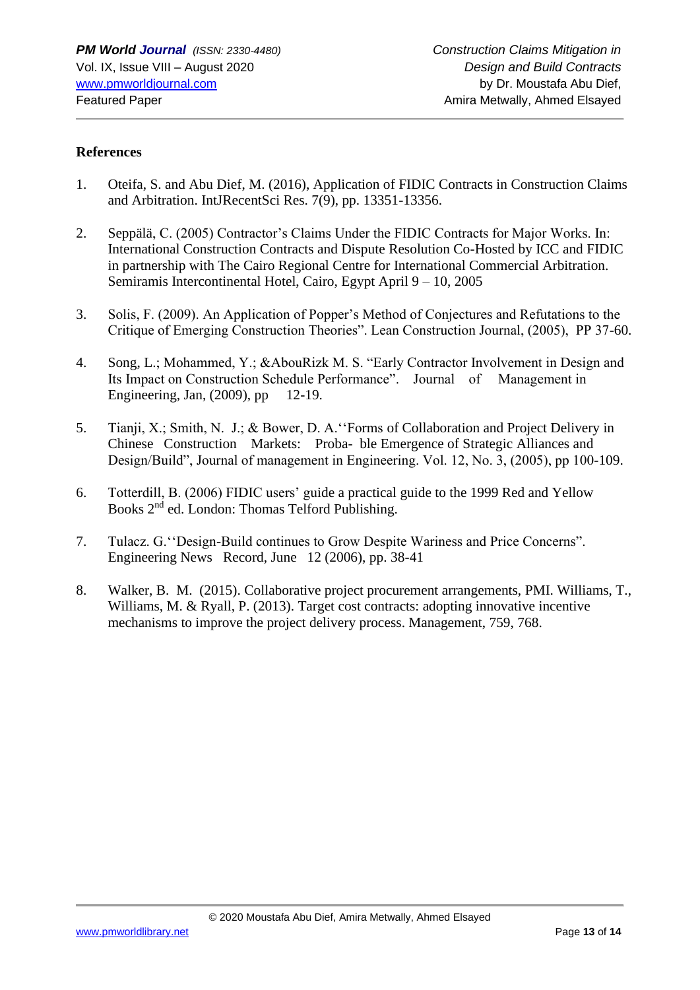#### **References**

- 1. Oteifa, S. and Abu Dief, M. (2016), Application of FIDIC Contracts in Construction Claims and Arbitration. IntJRecentSci Res. 7(9), pp. 13351-13356.
- 2. Seppälä, C. (2005) Contractor's Claims Under the FIDIC Contracts for Major Works. In: International Construction Contracts and Dispute Resolution Co-Hosted by ICC and FIDIC in partnership with The Cairo Regional Centre for International Commercial Arbitration. Semiramis Intercontinental Hotel, Cairo, Egypt April 9 – 10, 2005
- 3. Solis, F. (2009). An Application of Popper's Method of Conjectures and Refutations to the Critique of Emerging Construction Theories". Lean Construction Journal, (2005), PP 37-60.
- 4. Song, L.; Mohammed, Y.; &AbouRizk M. S. "Early Contractor Involvement in Design and Its Impact on Construction Schedule Performance". Journal of Management in Engineering, Jan, (2009), pp 12-19.
- 5. Tianji, X.; Smith, N. J.; & Bower, D. A.''Forms of Collaboration and Project Delivery in Chinese Construction Markets: Proba- ble Emergence of Strategic Alliances and Design/Build", Journal of management in Engineering. Vol. 12, No. 3, (2005), pp 100-109.
- 6. Totterdill, B. (2006) FIDIC users' guide a practical guide to the 1999 Red and Yellow Books 2nd ed. London: Thomas Telford Publishing.
- 7. Tulacz. G.''Design-Build continues to Grow Despite Wariness and Price Concerns". Engineering News Record, June 12 (2006), pp. 38-41
- 8. Walker, B. M. (2015). Collaborative project procurement arrangements, PMI. Williams, T., Williams, M. & Ryall, P. (2013). Target cost contracts: adopting innovative incentive mechanisms to improve the project delivery process. Management, 759, 768.